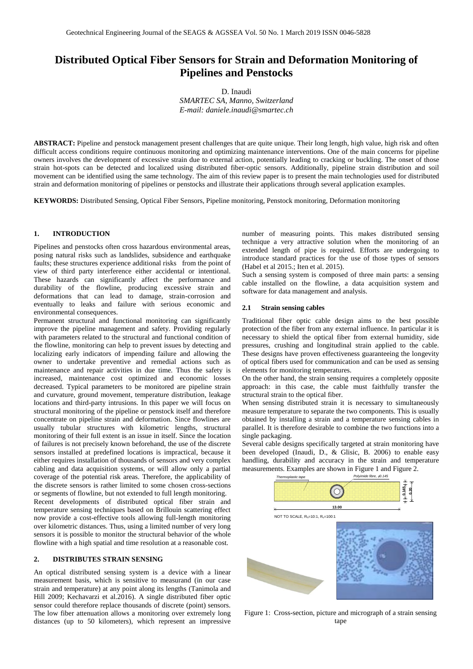# **Distributed Optical Fiber Sensors for Strain and Deformation Monitoring of Pipelines and Penstocks**

D. Inaudi *SMARTEC SA, Manno, Switzerland*

*E-mail: [daniele.inaudi@smartec.ch](mailto:daniele.inaudi@smartec.ch)*

**ABSTRACT:** Pipeline and penstock management present challenges that are quite unique. Their long length, high value, high risk and often difficult access conditions require continuous monitoring and optimizing maintenance interventions. One of the main concerns for pipeline owners involves the development of excessive strain due to external action, potentially leading to cracking or buckling. The onset of those strain hot-spots can be detected and localized using distributed fiber-optic sensors. Additionally, pipeline strain distribution and soil movement can be identified using the same technology. The aim of this review paper is to present the main technologies used for distributed strain and deformation monitoring of pipelines or penstocks and illustrate their applications through several application examples.

**KEYWORDS:** Distributed Sensing, Optical Fiber Sensors, Pipeline monitoring, Penstock monitoring, Deformation monitoring

# **1. INTRODUCTION**

Pipelines and penstocks often cross hazardous environmental areas, posing natural risks such as landslides, subsidence and earthquake faults; these structures experience additional risks from the point of view of third party interference either accidental or intentional. These hazards can significantly affect the performance and durability of the flowline, producing excessive strain and deformations that can lead to damage, strain-corrosion and eventually to leaks and failure with serious economic and environmental consequences.

Permanent structural and functional monitoring can significantly improve the pipeline management and safety. Providing regularly with parameters related to the structural and functional condition of the flowline, monitoring can help to prevent issues by detecting and localizing early indicators of impending failure and allowing the owner to undertake preventive and remedial actions such as maintenance and repair activities in due time. Thus the safety is increased, maintenance cost optimized and economic losses decreased. Typical parameters to be monitored are pipeline strain and curvature, ground movement, temperature distribution, leakage locations and third-party intrusions. In this paper we will focus on structural monitoring of the pipeline or penstock itself and therefore concentrate on pipeline strain and deformation. Since flowlines are usually tubular structures with kilometric lengths, structural monitoring of their full extent is an issue in itself. Since the location of failures is not precisely known beforehand, the use of the discrete sensors installed at predefined locations is impractical, because it either requires installation of thousands of sensors and very complex cabling and data acquisition systems, or will allow only a partial coverage of the potential risk areas. Therefore, the applicability of the discrete sensors is rather limited to some chosen cross-sections or segments of flowline, but not extended to full length monitoring. Recent developments of distributed optical fiber strain and temperature sensing techniques based on Brillouin scattering effect now provide a cost-effective tools allowing full-length monitoring over kilometric distances. Thus, using a limited number of very long

### **2. DISTRIBUTES STRAIN SENSING**

An optical distributed sensing system is a device with a linear measurement basis, which is sensitive to measurand (in our case strain and temperature) at any point along its lengths (Tanimola and Hill 2009; Kechavarzi et al.2016). A single distributed fiber optic sensor could therefore replace thousands of discrete (point) sensors. The low fiber attenuation allows a monitoring over extremely long distances (up to 50 kilometers), which represent an impressive

sensors it is possible to monitor the structural behavior of the whole flowline with a high spatial and time resolution at a reasonable cost.

number of measuring points. This makes distributed sensing technique a very attractive solution when the monitoring of an extended length of pipe is required. Efforts are undergoing to introduce standard practices for the use of those types of sensors (Habel et al 2015.; Iten et al. 2015).

Such a sensing system is composed of three main parts: a sensing cable installed on the flowline, a data acquisition system and software for data management and analysis.

# **2.1 Strain sensing cables**

Traditional fiber optic cable design aims to the best possible protection of the fiber from any external influence. In particular it is necessary to shield the optical fiber from external humidity, side pressures, crushing and longitudinal strain applied to the cable. These designs have proven effectiveness guaranteeing the longevity of optical fibers used for communication and can be used as sensing elements for monitoring temperatures.

On the other hand, the strain sensing requires a completely opposite approach: in this case, the cable must faithfully transfer the structural strain to the optical fiber.

When sensing distributed strain it is necessary to simultaneously measure temperature to separate the two components. This is usually obtained by installing a strain and a temperature sensing cables in parallel. It is therefore desirable to combine the two functions into a single packaging.

Several cable designs specifically targeted at strain monitoring have been developed (Inaudi, D., & Glisic, B. 2006) to enable easy handling, durability and accuracy in the strain and temperature measurements. Examples are shown i[n Figure 1](#page-0-0) and Figure 2.



<span id="page-0-0"></span>Figure 1: Cross-section, picture and micrograph of a strain sensing tape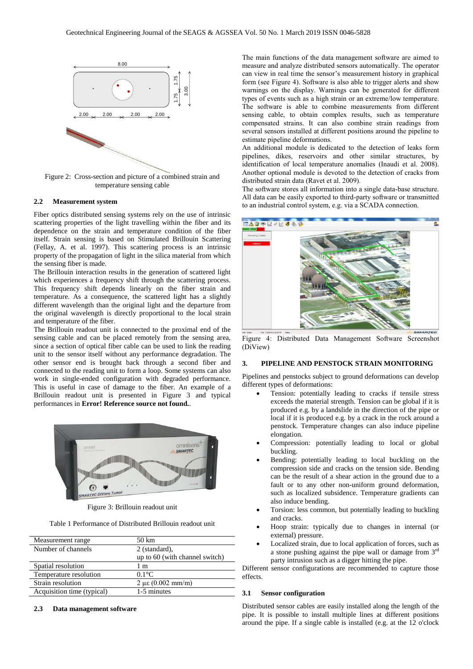

Figure 2: Cross-section and picture of a combined strain and temperature sensing cable

#### **2.2 Measurement system**

Fiber optics distributed sensing systems rely on the use of intrinsic scattering properties of the light travelling within the fiber and its dependence on the strain and temperature condition of the fiber itself. Strain sensing is based on Stimulated Brillouin Scattering (Fellay, A. et al. 1997). This scattering process is an intrinsic property of the propagation of light in the silica material from which the sensing fiber is made.

The Brillouin interaction results in the generation of scattered light which experiences a frequency shift through the scattering process. This frequency shift depends linearly on the fiber strain and temperature. As a consequence, the scattered light has a slightly different wavelength than the original light and the departure from the original wavelength is directly proportional to the local strain and temperature of the fiber.

The Brillouin readout unit is connected to the proximal end of the sensing cable and can be placed remotely from the sensing area, since a section of optical fiber cable can be used to link the reading unit to the sensor itself without any performance degradation. The other sensor end is brought back through a second fiber and connected to the reading unit to form a loop. Some systems can also work in single-ended configuration with degraded performance. This is useful in case of damage to the fiber. An example of a Brillouin readout unit is presented in Figure 3 and typical performances in **Error! Reference source not found.**.



Figure 3: Brillouin readout unit

Table 1 Performance of Distributed Brillouin readout unit

| 50 km                                 |
|---------------------------------------|
| 2 (standard),                         |
| up to 60 (with channel switch)        |
| 1 m                                   |
| $0.1^{\circ}$ C                       |
| $2 \mu \epsilon (0.002 \text{ mm/m})$ |
| 1-5 minutes                           |
|                                       |

### **2.3 Data management software**

The main functions of the data management software are aimed to measure and analyze distributed sensors automatically. The operator can view in real time the sensor's measurement history in graphical form (see Figure 4). Software is also able to trigger alerts and show warnings on the display. Warnings can be generated for different types of events such as a high strain or an extreme/low temperature. The software is able to combine measurements from different sensing cable, to obtain complex results, such as temperature compensated strains. It can also combine strain readings from several sensors installed at different positions around the pipeline to estimate pipeline deformations.

An additional module is dedicated to the detection of leaks form pipelines, dikes, reservoirs and other similar structures, by identification of local temperature anomalies (Inaudi et al. 2008). Another optional module is devoted to the detection of cracks from distributed strain data (Ravet et al. 2009).

The software stores all information into a single data-base structure. All data can be easily exported to third-party software or transmitted to an industrial control system, e.g. via a SCADA connection.



Figure 4: Distributed Data Management Software Screenshot (DiView)

# **3. PIPELINE AND PENSTOCK STRAIN MONITORING**

Pipelines and penstocks subject to ground deformations can develop different types of deformations:

- Tension: potentially leading to cracks if tensile stress exceeds the material strength. Tension can be global if it is produced e.g. by a landslide in the direction of the pipe or local if it is produced e.g. by a crack in the rock around a penstock. Temperature changes can also induce pipeline elongation.
- Compression: potentially leading to local or global buckling.
- Bending: potentially leading to local buckling on the compression side and cracks on the tension side. Bending can be the result of a shear action in the ground due to a fault or to any other non-uniform ground deformation, such as localized subsidence. Temperature gradients can also induce bending.
- Torsion: less common, but potentially leading to buckling and cracks.
- Hoop strain: typically due to changes in internal (or external) pressure.
- Localized strain, due to local application of forces, such as a stone pushing against the pipe wall or damage from 3rd party intrusion such as a digger hitting the pipe.

Different sensor configurations are recommended to capture those effects.

#### **3.1 Sensor configuration**

Distributed sensor cables are easily installed along the length of the pipe. It is possible to install multiple lines at different positions around the pipe. If a single cable is installed (e.g. at the 12 o'clock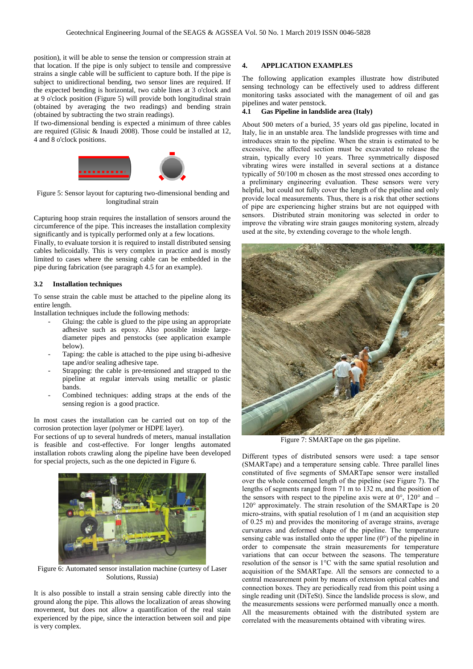position), it will be able to sense the tension or compression strain at that location. If the pipe is only subject to tensile and compressive strains a single cable will be sufficient to capture both. If the pipe is subject to unidirectional bending, two sensor lines are required. If the expected bending is horizontal, two cable lines at 3 o'clock and at 9 o'clock position (Figure 5) will provide both longitudinal strain (obtained by averaging the two readings) and bending strain (obtained by subtracting the two strain readings).

If two-dimensional bending is expected a minimum of three cables are required (Glisic & Inaudi 2008). Those could be installed at 12, 4 and 8 o'clock positions.



Figure 5: Sensor layout for capturing two-dimensional bending and longitudinal strain

Capturing hoop strain requires the installation of sensors around the circumference of the pipe. This increases the installation complexity significantly and is typically performed only at a few locations.

Finally, to evaluate torsion it is required to install distributed sensing cables helicoidally. This is very complex in practice and is mostly limited to cases where the sensing cable can be embedded in the pipe during fabrication (see paragraph 4.5 for an example).

# **3.2 Installation techniques**

To sense strain the cable must be attached to the pipeline along its entire length.

Installation techniques include the following methods:

- Gluing: the cable is glued to the pipe using an appropriate adhesive such as epoxy. Also possible inside largediameter pipes and penstocks (see application example below).
- Taping: the cable is attached to the pipe using bi-adhesive tape and/or sealing adhesive tape.
- Strapping: the cable is pre-tensioned and strapped to the pipeline at regular intervals using metallic or plastic bands.
- Combined techniques: adding straps at the ends of the sensing region is a good practice.

In most cases the installation can be carried out on top of the corrosion protection layer (polymer or HDPE layer).

For sections of up to several hundreds of meters, manual installation is feasible and cost-effective. For longer lengths automated installation robots crawling along the pipeline have been developed for special projects, such as the one depicted in Figure 6.



Figure 6: Automated sensor installation machine (curtesy of Laser Solutions, Russia)

It is also possible to install a strain sensing cable directly into the ground along the pipe. This allows the localization of areas showing movement, but does not allow a quantification of the real stain experienced by the pipe, since the interaction between soil and pipe is very complex.

# **4. APPLICATION EXAMPLES**

The following application examples illustrate how distributed sensing technology can be effectively used to address different monitoring tasks associated with the management of oil and gas pipelines and water penstock.

# **4.1 Gas Pipeline in landslide area (Italy)**

About 500 meters of a buried, 35 years old gas pipeline, located in Italy, lie in an unstable area. The landslide progresses with time and introduces strain to the pipeline. When the strain is estimated to be excessive, the affected section must be excavated to release the strain, typically every 10 years. Three symmetrically disposed vibrating wires were installed in several sections at a distance typically of 50/100 m chosen as the most stressed ones according to a preliminary engineering evaluation. These sensors were very helpful, but could not fully cover the length of the pipeline and only provide local measurements. Thus, there is a risk that other sections of pipe are experiencing higher strains but are not equipped with sensors. Distributed strain monitoring was selected in order to improve the vibrating wire strain gauges monitoring system, already used at the site, by extending coverage to the whole length.



Figure 7: SMARTape on the gas pipeline.

Different types of distributed sensors were used: a tape sensor (SMARTape) and a temperature sensing cable. Three parallel lines constituted of five segments of SMARTape sensor were installed over the whole concerned length of the pipeline (see Figure 7). The lengths of segments ranged from 71 m to 132 m, and the position of the sensors with respect to the pipeline axis were at  $0^{\circ}$ , 120° and – 120° approximately. The strain resolution of the SMARTape is 20 micro-strains, with spatial resolution of 1 m (and an acquisition step of 0.25 m) and provides the monitoring of average strains, average curvatures and deformed shape of the pipeline. The temperature sensing cable was installed onto the upper line (0°) of the pipeline in order to compensate the strain measurements for temperature variations that can occur between the seasons. The temperature resolution of the sensor is 1°C with the same spatial resolution and acquisition of the SMARTape. All the sensors are connected to a central measurement point by means of extension optical cables and connection boxes. They are periodically read from this point using a single reading unit (DiTeSt). Since the landslide process is slow, and the measurements sessions were performed manually once a month. All the measurements obtained with the distributed system are correlated with the measurements obtained with vibrating wires.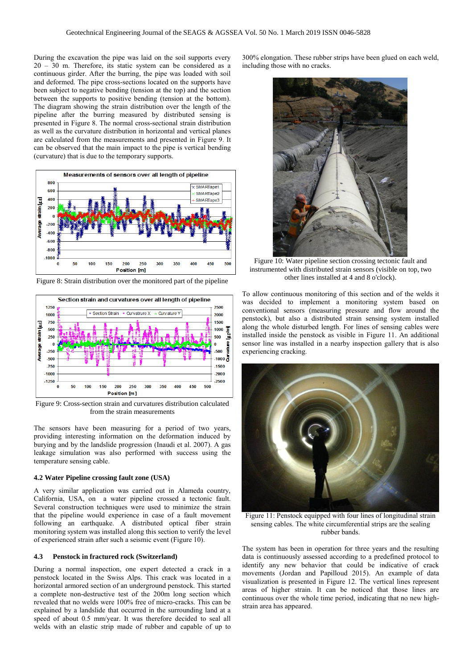During the excavation the pipe was laid on the soil supports every 20 – 30 m. Therefore, its static system can be considered as a continuous girder. After the burring, the pipe was loaded with soil and deformed. The pipe cross-sections located on the supports have been subject to negative bending (tension at the top) and the section between the supports to positive bending (tension at the bottom). The diagram showing the strain distribution over the length of the pipeline after the burring measured by distributed sensing is presented in Figure 8. The normal cross-sectional strain distribution as well as the curvature distribution in horizontal and vertical planes are calculated from the measurements and presented in Figure 9. It can be observed that the main impact to the pipe is vertical bending (curvature) that is due to the temporary supports.



Figure 8: Strain distribution over the monitored part of the pipeline



Figure 9: Cross-section strain and curvatures distribution calculated from the strain measurements

The sensors have been measuring for a period of two years, providing interesting information on the deformation induced by burying and by the landslide progression (Inaudi et al. 2007). A gas leakage simulation was also performed with success using the temperature sensing cable.

### **4.2 Water Pipeline crossing fault zone (USA)**

A very similar application was carried out in Alameda country, California, USA, on a water pipeline crossed a tectonic fault. Several construction techniques were used to minimize the strain that the pipeline would experience in case of a fault movement following an earthquake. A distributed optical fiber strain monitoring system was installed along this section to verify the level of experienced strain after such a seismic event (Figure 10).

### **4.3 Penstock in fractured rock (Switzerland)**

During a normal inspection, one expert detected a crack in a penstock located in the Swiss Alps. This crack was located in a horizontal armored section of an underground penstock. This started a complete non-destructive test of the 200m long section which revealed that no welds were 100% free of micro-cracks. This can be explained by a landslide that occurred in the surrounding land at a speed of about 0.5 mm/year. It was therefore decided to seal all welds with an elastic strip made of rubber and capable of up to

300% elongation. These rubber strips have been glued on each weld, including those with no cracks.



Figure 10: Water pipeline section crossing tectonic fault and instrumented with distributed strain sensors (visible on top, two other lines installed at 4 and 8 o'clock).

To allow continuous monitoring of this section and of the welds it was decided to implement a monitoring system based on conventional sensors (measuring pressure and flow around the penstock), but also a distributed strain sensing system installed along the whole disturbed length. For lines of sensing cables were installed inside the penstock as visible in Figure 11. An additional sensor line was installed in a nearby inspection gallery that is also experiencing cracking.



Figure 11: Penstock equipped with four lines of longitudinal strain sensing cables. The white circumferential strips are the sealing rubber bands.

The system has been in operation for three years and the resulting data is continuously assessed according to a predefined protocol to identify any new behavior that could be indicative of crack movements (Jordan and Papilloud 2015). An example of data visualization is presented in Figure 12. The vertical lines represent areas of higher strain. It can be noticed that those lines are continuous over the whole time period, indicating that no new highstrain area has appeared.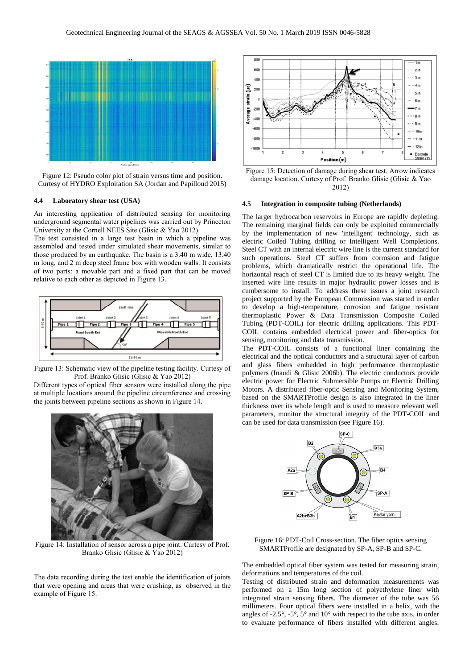

Figure 12: Pseudo color plot of strain versus time and position. Curtesy of HYDRO Exploitation SA (Jordan and Papilloud 2015)

### **4.4 Laboratory shear test (USA)**

An interesting application of distributed sensing for monitoring underground segmental water pipelines was carried out by Princeton University at the Cornell NEES Site (Glisic & Yao 2012).

The test consisted in a large test basin in which a pipeline was assembled and tested under simulated shear movements, similar to those produced by an earthquake. The basin is a 3.40 m wide, 13.40 m long, and 2 m deep steel frame box with wooden walls. It consists of two parts: a movable part and a fixed part that can be moved relative to each other as depicted in Figure 13.



Figure 13: Schematic view of the pipeline testing facility. Curtesy of Prof. Branko Glisic (Glisic & Yao 2012)

Different types of optical fiber sensors were installed along the pipe at multiple locations around the pipeline circumference and crossing the joints between pipeline sections as shown in Figure 14.



Figure 14: Installation of sensor across a pipe joint. Curtesy of Prof. Branko Glisic (Glisic & Yao 2012)

The data recording during the test enable the identification of joints that were opening and areas that were crushing, as observed in the example of Figure 15.



Figure 15: Detection of damage during shear test. Arrow indicates damage location. Curtesy of Prof. Branko Glisic (Glisic & Yao 2012)

### **4.5 Integration in composite tubing (Netherlands)**

The larger hydrocarbon reservoirs in Europe are rapidly depleting. The remaining marginal fields can only be exploited commercially by the implementation of new 'intelligent' technology, such as electric Coiled Tubing drilling or Intelligent Well Completions. Steel CT with an internal electric wire line is the current standard for such operations. Steel CT suffers from corrosion and fatigue problems, which dramatically restrict the operational life. The horizontal reach of steel CT is limited due to its heavy weight. The inserted wire line results in major hydraulic power losses and is cumbersome to install. To address these issues a joint research project supported by the European Commission was started in order to develop a high-temperature, corrosion and fatigue resistant thermoplastic Power & Data Transmission Composite Coiled Tubing (PDT-COIL) for electric drilling applications. This PDT-COIL contains embedded electrical power and fiber-optics for sensing, monitoring and data transmission.

The PDT-COIL consists of a functional liner containing the electrical and the optical conductors and a structural layer of carbon and glass fibers embedded in high performance thermoplastic polymers (Inaudi & Glisic 2006b). The electric conductors provide electric power for Electric Submersible Pumps or Electric Drilling Motors. A distributed fiber-optic Sensing and Monitoring System, based on the SMARTProfile design is also integrated in the liner thickness over its whole length and is used to measure relevant well parameters, monitor the structural integrity of the PDT-COIL and can be used for data transmission (see Figure 16).



Figure 16: PDT-Coil Cross-section. The fiber optics sensing SMARTProfile are designated by SP-A, SP-B and SP-C.

The embedded optical fiber system was tested for measuring strain, deformations and temperatures of the coil.

Testing of distributed strain and deformation measurements was performed on a 15m long section of polyethylene liner with integrated strain sensing fibers. The diameter of the tube was 56 millimeters. Four optical fibers were installed in a helix, with the angles of -2.5°, -5°, 5° and 10° with respect to the tube axis, in order to evaluate performance of fibers installed with different angles.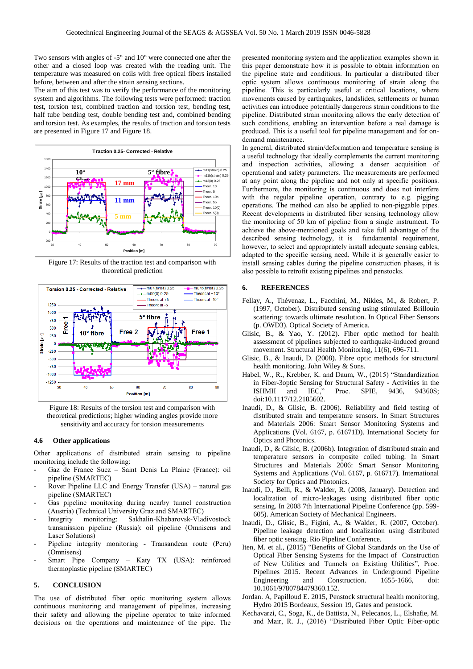Two sensors with angles of -5° and 10° were connected one after the other and a closed loop was created with the reading unit. The temperature was measured on coils with free optical fibers installed before, between and after the strain sensing sections.

The aim of this test was to verify the performance of the monitoring system and algorithms. The following tests were performed: traction test, torsion test, combined traction and torsion test, bending test, half tube bending test, double bending test and, combined bending and torsion test. As examples, the results of traction and torsion tests are presented in Figure 17 and Figure 18.



Figure 17: Results of the traction test and comparison with theoretical prediction



Figure 18: Results of the torsion test and comparison with theoretical predictions; higher winding angles provide more sensitivity and accuracy for torsion measurements

### **4.6 Other applications**

Other applications of distributed strain sensing to pipeline monitoring include the following:

- Gaz de France Suez Saint Denis La Plaine (France): oil pipeline (SMARTEC)
- Rover Pipeline LLC and Energy Transfer (USA) natural gas pipeline (SMARTEC)
- Gas pipeline monitoring during nearby tunnel construction (Austria) (Technical University Graz and SMARTEC)
- Integrity monitoring: Sakhalin-Khabarovsk-Vladivostock transmission pipeline (Russia): oil pipeline (Omnisens and Laser Solutions)
- Pipeline integrity monitoring Transandean route (Peru) (Omnisens)
- Smart Pipe Company Katy TX (USA): reinforced thermoplastic pipeline (SMARTEC)

### **5. CONCLUSION**

The use of distributed fiber optic monitoring system allows continuous monitoring and management of pipelines, increasing their safety and allowing the pipeline operator to take informed decisions on the operations and maintenance of the pipe. The

presented monitoring system and the application examples shown in this paper demonstrate how it is possible to obtain information on the pipeline state and conditions. In particular a distributed fiber optic system allows continuous monitoring of strain along the pipeline. This is particularly useful at critical locations, where movements caused by earthquakes, landslides, settlements or human activities can introduce potentially dangerous strain conditions to the pipeline. Distributed strain monitoring allows the early detection of such conditions, enabling an intervention before a real damage is produced. This is a useful tool for pipeline management and for ondemand maintenance.

In general, distributed strain/deformation and temperature sensing is a useful technology that ideally complements the current monitoring and inspection activities, allowing a denser acquisition of operational and safety parameters. The measurements are performed at any point along the pipeline and not only at specific positions. Furthermore, the monitoring is continuous and does not interfere with the regular pipeline operation, contrary to e.g. pigging operations. The method can also be applied to non-piggable pipes. Recent developments in distributed fiber sensing technology allow the monitoring of 50 km of pipeline from a single instrument. To achieve the above-mentioned goals and take full advantage of the described sensing technology, it is fundamental requirement, however, to select and appropriately install adequate sensing cables, adapted to the specific sensing need. While it is generally easier to install sensing cables during the pipeline construction phases, it is also possible to retrofit existing pipelines and penstocks.

# **6. REFERENCES**

- Fellay, A., Thévenaz, L., Facchini, M., Nikles, M., & Robert, P. (1997, October). Distributed sensing using stimulated Brillouin scattering: towards ultimate resolution. In Optical Fiber Sensors (p. OWD3). Optical Society of America.
- Glisic, B., & Yao, Y. (2012). Fiber optic method for health assessment of pipelines subjected to earthquake-induced ground movement. Structural Health Monitoring, 11(6), 696-711.
- Glisic, B., & Inaudi, D. (2008). Fibre optic methods for structural health monitoring. John Wiley & Sons.
- Habel, W., R., Krebber, K. and Daum, W., (2015) "Standardization in Fiber-3optic Sensing for Structural Safety - Activities in the ISHMII and IEC." Proc. SPIE. 9436. 94360S: ISHMII and IEC," Proc. SPIE, 9436, 94360S; doi:10.1117/12.2185602.
- Inaudi, D., & Glisic, B. (2006). Reliability and field testing of distributed strain and temperature sensors. In Smart Structures and Materials 2006: Smart Sensor Monitoring Systems and Applications (Vol. 6167, p. 61671D). International Society for Optics and Photonics.
- Inaudi, D., & Glisic, B. (2006b). Integration of distributed strain and temperature sensors in composite coiled tubing. In Smart Structures and Materials 2006: Smart Sensor Monitoring Systems and Applications (Vol. 6167, p. 616717). International Society for Optics and Photonics.
- Inaudi, D., Belli, R., & Walder, R. (2008, January). Detection and localization of micro-leakages using distributed fiber optic sensing. In 2008 7th International Pipeline Conference (pp. 599- 605). American Society of Mechanical Engineers.
- Inaudi, D., Glisic, B., Figini, A., & Walder, R. (2007, October). Pipeline leakage detection and localization using distributed fiber optic sensing. Rio Pipeline Conference.
- Iten, M. et al., (2015) "Benefits of Global Standards on the Use of Optical Fiber Sensing Systems for the Impact of Construction of New Utilities and Tunnels on Existing Utilities", Proc. Pipelines 2015. Recent Advances in Underground Pipeline Engineering and Construction. 1655-1666, doi: 10.1061/9780784479360.152.
- Jordan. A, Papilloud E. 2015, Penstock structural health monitoring, Hydro 2015 Bordeaux, Session 19, Gates and penstock.
- Kechavarzi, C., Soga, K., de Battista, N., Pelecanos, L., Elshafie, M. and Mair, R. J., (2016) "Distributed Fiber Optic Fiber-optic